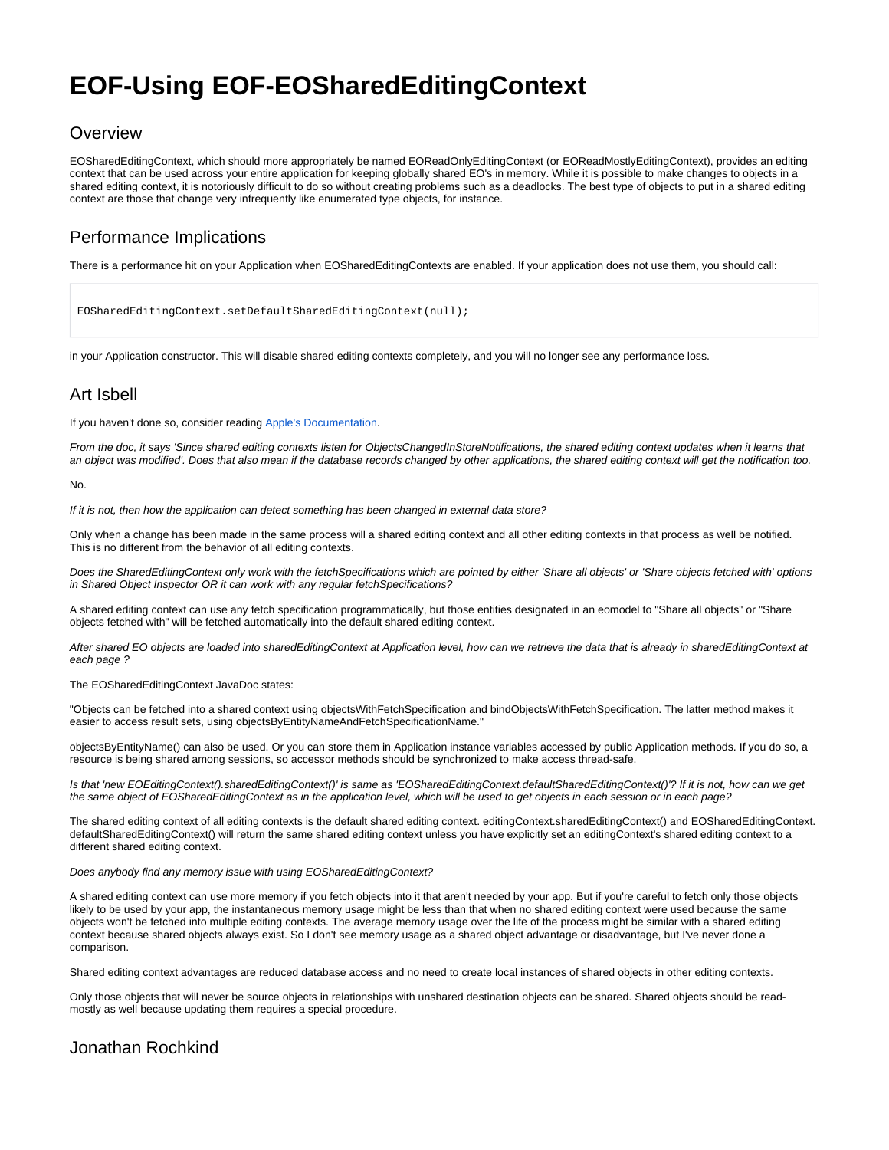# **EOF-Using EOF-EOSharedEditingContext**

#### **Overview**

EOSharedEditingContext, which should more appropriately be named EOReadOnlyEditingContext (or EOReadMostlyEditingContext), provides an editing context that can be used across your entire application for keeping globally shared EO's in memory. While it is possible to make changes to objects in a shared editing context, it is notoriously difficult to do so without creating problems such as a deadlocks. The best type of objects to put in a shared editing context are those that change very infrequently like enumerated type objects, for instance.

### Performance Implications

There is a performance hit on your Application when EOSharedEditingContexts are enabled. If your application does not use them, you should call:

EOSharedEditingContext.setDefaultSharedEditingContext(null);

in your Application constructor. This will disable shared editing contexts completely, and you will no longer see any performance loss.

#### Art Isbell

If you haven't done so, consider reading [Apple's Documentation.](http://developer.apple.com/documentation/LegacyTechnologies/WebObjects/WebObjects_4.5/System/Documentation/Developer/WebObjects/DeltaDoc/EOF.html#CBGCHAIA)

From the doc, it says 'Since shared editing contexts listen for ObjectsChangedInStoreNotifications, the shared editing context updates when it learns that an object was modified'. Does that also mean if the database records changed by other applications, the shared editing context will get the notification too.

No.

If it is not, then how the application can detect something has been changed in external data store?

Only when a change has been made in the same process will a shared editing context and all other editing contexts in that process as well be notified. This is no different from the behavior of all editing contexts.

Does the SharedEditingContext only work with the fetchSpecifications which are pointed by either 'Share all objects' or 'Share objects fetched with' options in Shared Object Inspector OR it can work with any regular fetchSpecifications?

A shared editing context can use any fetch specification programmatically, but those entities designated in an eomodel to "Share all objects" or "Share objects fetched with" will be fetched automatically into the default shared editing context.

After shared EO objects are loaded into sharedEditingContext at Application level, how can we retrieve the data that is already in sharedEditingContext at each page ?

The EOSharedEditingContext JavaDoc states:

"Objects can be fetched into a shared context using objectsWithFetchSpecification and bindObjectsWithFetchSpecification. The latter method makes it easier to access result sets, using objectsByEntityNameAndFetchSpecificationName."

objectsByEntityName() can also be used. Or you can store them in Application instance variables accessed by public Application methods. If you do so, a resource is being shared among sessions, so accessor methods should be synchronized to make access thread-safe.

Is that 'new EOEditingContext().sharedEditingContext()' is same as 'EOSharedEditingContext.defaultSharedEditingContext()'? If it is not, how can we get the same object of EOSharedEditingContext as in the application level, which will be used to get objects in each session or in each page?

The shared editing context of all editing contexts is the default shared editing context. editingContext.sharedEditingContext() and EOSharedEditingContext. defaultSharedEditingContext() will return the same shared editing context unless you have explicitly set an editingContext's shared editing context to a different shared editing context.

Does anybody find any memory issue with using EOSharedEditingContext?

A shared editing context can use more memory if you fetch objects into it that aren't needed by your app. But if you're careful to fetch only those objects likely to be used by your app, the instantaneous memory usage might be less than that when no shared editing context were used because the same objects won't be fetched into multiple editing contexts. The average memory usage over the life of the process might be similar with a shared editing context because shared objects always exist. So I don't see memory usage as a shared object advantage or disadvantage, but I've never done a comparison.

Shared editing context advantages are reduced database access and no need to create local instances of shared objects in other editing contexts.

Only those objects that will never be source objects in relationships with unshared destination objects can be shared. Shared objects should be readmostly as well because updating them requires a special procedure.

#### Jonathan Rochkind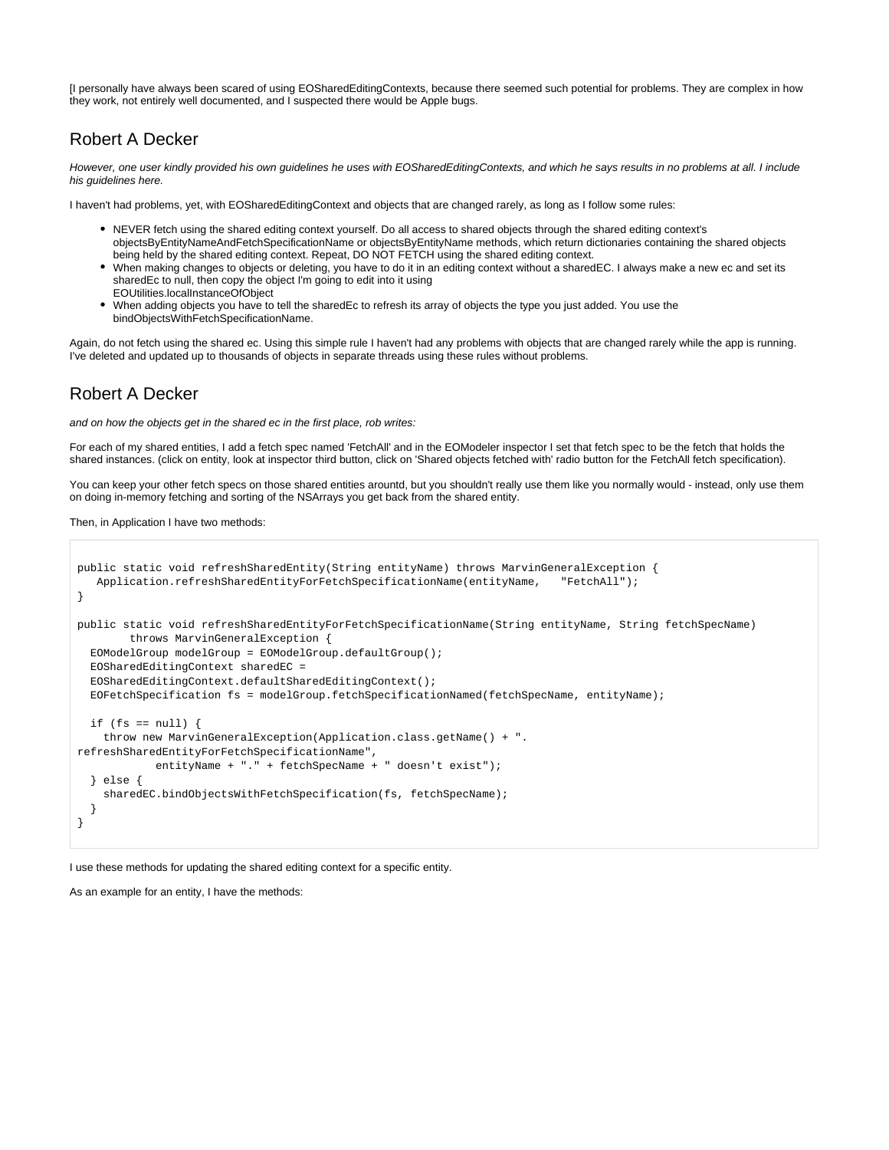[I personally have always been scared of using EOSharedEditingContexts, because there seemed such potential for problems. They are complex in how they work, not entirely well documented, and I suspected there would be Apple bugs.

#### Robert A Decker

However, one user kindly provided his own guidelines he uses with EOSharedEditingContexts, and which he says results in no problems at all. I include his guidelines here.

I haven't had problems, yet, with EOSharedEditingContext and objects that are changed rarely, as long as I follow some rules:

- NEVER fetch using the shared editing context yourself. Do all access to shared objects through the shared editing context's objectsByEntityNameAndFetchSpecificationName or objectsByEntityName methods, which return dictionaries containing the shared objects being held by the shared editing context. Repeat, DO NOT FETCH using the shared editing context.
- When making changes to objects or deleting, you have to do it in an editing context without a sharedEC. I always make a new ec and set its sharedEc to null, then copy the object I'm going to edit into it using
- EOUtilities.localInstanceOfObject When adding objects you have to tell the sharedEc to refresh its array of objects the type you just added. You use the bindObjectsWithFetchSpecificationName.

Again, do not fetch using the shared ec. Using this simple rule I haven't had any problems with objects that are changed rarely while the app is running. I've deleted and updated up to thousands of objects in separate threads using these rules without problems.

## Robert A Decker

and on how the objects get in the shared ec in the first place, rob writes:

For each of my shared entities, I add a fetch spec named 'FetchAll' and in the EOModeler inspector I set that fetch spec to be the fetch that holds the shared instances. (click on entity, look at inspector third button, click on 'Shared objects fetched with' radio button for the FetchAll fetch specification).

You can keep your other fetch specs on those shared entities arountd, but you shouldn't really use them like you normally would - instead, only use them on doing in-memory fetching and sorting of the NSArrays you get back from the shared entity.

Then, in Application I have two methods:

```
public static void refreshSharedEntity(String entityName) throws MarvinGeneralException {
    Application.refreshSharedEntityForFetchSpecificationName(entityName, "FetchAll");
}
public static void refreshSharedEntityForFetchSpecificationName(String entityName, String fetchSpecName)
         throws MarvinGeneralException {
  EOModelGroup modelGroup = EOModelGroup.defaultGroup();
   EOSharedEditingContext sharedEC =
   EOSharedEditingContext.defaultSharedEditingContext();
  EOFetchSpecification fs = modelGroup.fetchSpecificationNamed(fetchSpecName, entityName);
  if (fs == null) {
     throw new MarvinGeneralException(Application.class.getName() + ".
refreshSharedEntityForFetchSpecificationName",
             entityName + "." + fetchSpecName + " doesn't exist");
   } else {
     sharedEC.bindObjectsWithFetchSpecification(fs, fetchSpecName);
 }
}
```
I use these methods for updating the shared editing context for a specific entity.

As an example for an entity, I have the methods: